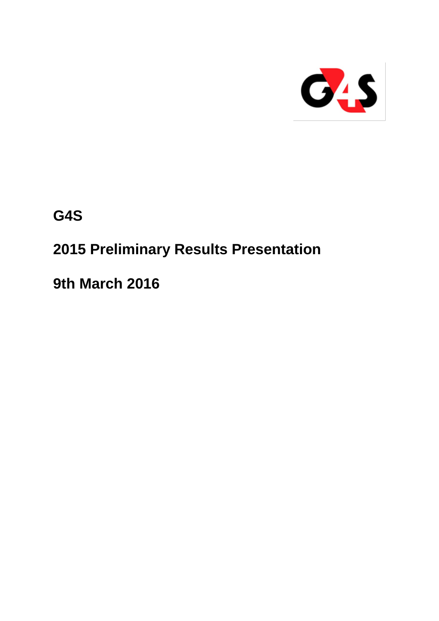

**G4S**

# **2015 Preliminary Results Presentation**

**9th March 2016**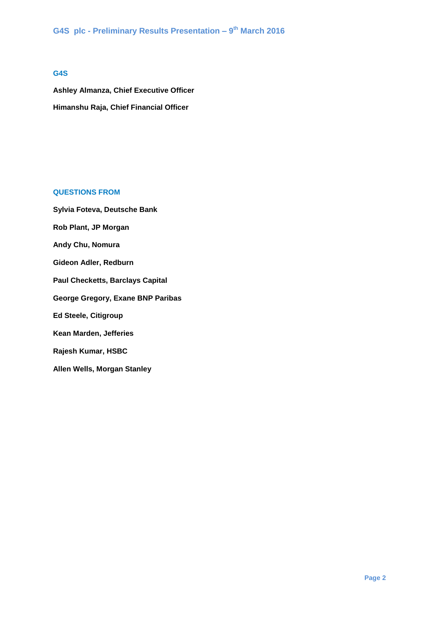#### **G4S**

**Ashley Almanza, Chief Executive Officer Himanshu Raja, Chief Financial Officer**

# **QUESTIONS FROM**

**Sylvia Foteva, Deutsche Bank Rob Plant, JP Morgan Andy Chu, Nomura Gideon Adler, Redburn Paul Checketts, Barclays Capital George Gregory, Exane BNP Paribas Ed Steele, Citigroup Kean Marden, Jefferies Rajesh Kumar, HSBC Allen Wells, Morgan Stanley**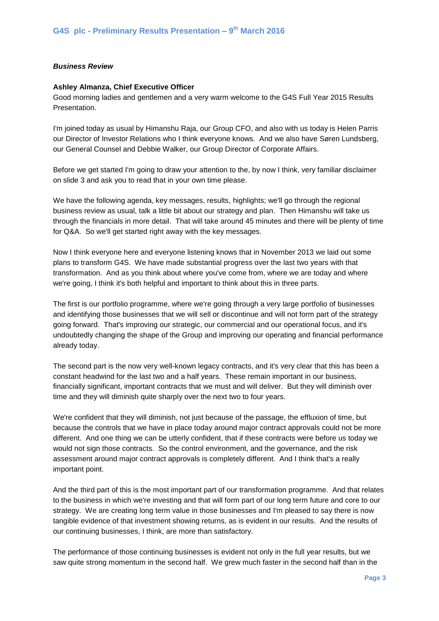#### *Business Review*

#### **Ashley Almanza, Chief Executive Officer**

Good morning ladies and gentlemen and a very warm welcome to the G4S Full Year 2015 Results Presentation.

I'm joined today as usual by Himanshu Raja, our Group CFO, and also with us today is Helen Parris our Director of Investor Relations who I think everyone knows. And we also have Søren Lundsberg, our General Counsel and Debbie Walker, our Group Director of Corporate Affairs.

Before we get started I'm going to draw your attention to the, by now I think, very familiar disclaimer on slide 3 and ask you to read that in your own time please.

We have the following agenda, key messages, results, highlights; we'll go through the regional business review as usual, talk a little bit about our strategy and plan. Then Himanshu will take us through the financials in more detail. That will take around 45 minutes and there will be plenty of time for Q&A. So we'll get started right away with the key messages.

Now I think everyone here and everyone listening knows that in November 2013 we laid out some plans to transform G4S. We have made substantial progress over the last two years with that transformation. And as you think about where you've come from, where we are today and where we're going, I think it's both helpful and important to think about this in three parts.

The first is our portfolio programme, where we're going through a very large portfolio of businesses and identifying those businesses that we will sell or discontinue and will not form part of the strategy going forward. That's improving our strategic, our commercial and our operational focus, and it's undoubtedly changing the shape of the Group and improving our operating and financial performance already today.

The second part is the now very well-known legacy contracts, and it's very clear that this has been a constant headwind for the last two and a half years. These remain important in our business, financially significant, important contracts that we must and will deliver. But they will diminish over time and they will diminish quite sharply over the next two to four years.

We're confident that they will diminish, not just because of the passage, the effluxion of time, but because the controls that we have in place today around major contract approvals could not be more different. And one thing we can be utterly confident, that if these contracts were before us today we would not sign those contracts. So the control environment, and the governance, and the risk assessment around major contract approvals is completely different. And I think that's a really important point.

And the third part of this is the most important part of our transformation programme. And that relates to the business in which we're investing and that will form part of our long term future and core to our strategy. We are creating long term value in those businesses and I'm pleased to say there is now tangible evidence of that investment showing returns, as is evident in our results. And the results of our continuing businesses, I think, are more than satisfactory.

The performance of those continuing businesses is evident not only in the full year results, but we saw quite strong momentum in the second half. We grew much faster in the second half than in the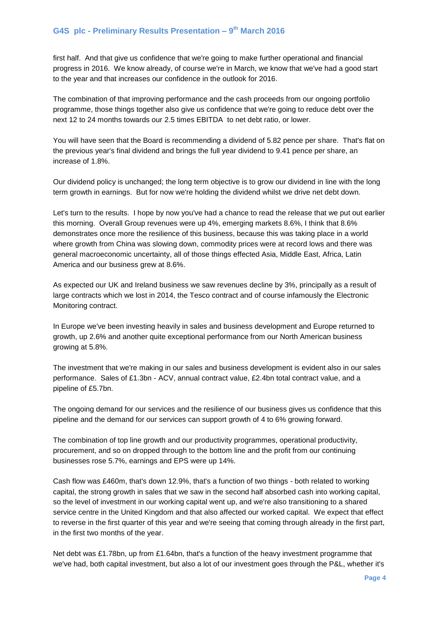first half. And that give us confidence that we're going to make further operational and financial progress in 2016. We know already, of course we're in March, we know that we've had a good start to the year and that increases our confidence in the outlook for 2016.

The combination of that improving performance and the cash proceeds from our ongoing portfolio programme, those things together also give us confidence that we're going to reduce debt over the next 12 to 24 months towards our 2.5 times EBITDA to net debt ratio, or lower.

You will have seen that the Board is recommending a dividend of 5.82 pence per share. That's flat on the previous year's final dividend and brings the full year dividend to 9.41 pence per share, an increase of 1.8%.

Our dividend policy is unchanged; the long term objective is to grow our dividend in line with the long term growth in earnings. But for now we're holding the dividend whilst we drive net debt down.

Let's turn to the results. I hope by now you've had a chance to read the release that we put out earlier this morning. Overall Group revenues were up 4%, emerging markets 8.6%, I think that 8.6% demonstrates once more the resilience of this business, because this was taking place in a world where growth from China was slowing down, commodity prices were at record lows and there was general macroeconomic uncertainty, all of those things effected Asia, Middle East, Africa, Latin America and our business grew at 8.6%.

As expected our UK and Ireland business we saw revenues decline by 3%, principally as a result of large contracts which we lost in 2014, the Tesco contract and of course infamously the Electronic Monitoring contract.

In Europe we've been investing heavily in sales and business development and Europe returned to growth, up 2.6% and another quite exceptional performance from our North American business growing at 5.8%.

The investment that we're making in our sales and business development is evident also in our sales performance. Sales of £1.3bn - ACV, annual contract value, £2.4bn total contract value, and a pipeline of £5.7bn.

The ongoing demand for our services and the resilience of our business gives us confidence that this pipeline and the demand for our services can support growth of 4 to 6% growing forward.

The combination of top line growth and our productivity programmes, operational productivity, procurement, and so on dropped through to the bottom line and the profit from our continuing businesses rose 5.7%, earnings and EPS were up 14%.

Cash flow was £460m, that's down 12.9%, that's a function of two things - both related to working capital, the strong growth in sales that we saw in the second half absorbed cash into working capital, so the level of investment in our working capital went up, and we're also transitioning to a shared service centre in the United Kingdom and that also affected our worked capital. We expect that effect to reverse in the first quarter of this year and we're seeing that coming through already in the first part, in the first two months of the year.

Net debt was £1.78bn, up from £1.64bn, that's a function of the heavy investment programme that we've had, both capital investment, but also a lot of our investment goes through the P&L, whether it's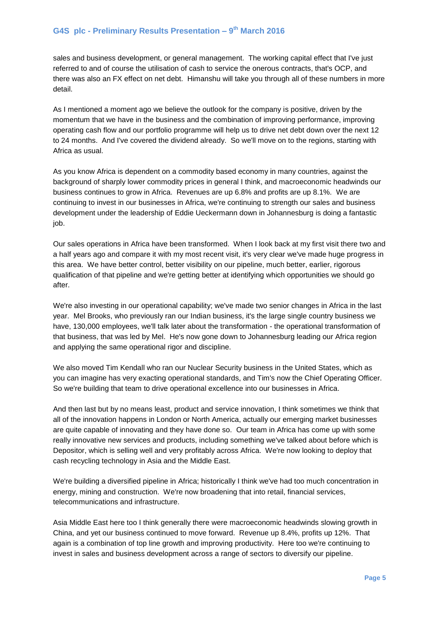sales and business development, or general management. The working capital effect that I've just referred to and of course the utilisation of cash to service the onerous contracts, that's OCP, and there was also an FX effect on net debt. Himanshu will take you through all of these numbers in more detail.

As I mentioned a moment ago we believe the outlook for the company is positive, driven by the momentum that we have in the business and the combination of improving performance, improving operating cash flow and our portfolio programme will help us to drive net debt down over the next 12 to 24 months. And I've covered the dividend already. So we'll move on to the regions, starting with Africa as usual.

As you know Africa is dependent on a commodity based economy in many countries, against the background of sharply lower commodity prices in general I think, and macroeconomic headwinds our business continues to grow in Africa. Revenues are up 6.8% and profits are up 8.1%. We are continuing to invest in our businesses in Africa, we're continuing to strength our sales and business development under the leadership of Eddie Ueckermann down in Johannesburg is doing a fantastic job.

Our sales operations in Africa have been transformed. When I look back at my first visit there two and a half years ago and compare it with my most recent visit, it's very clear we've made huge progress in this area. We have better control, better visibility on our pipeline, much better, earlier, rigorous qualification of that pipeline and we're getting better at identifying which opportunities we should go after.

We're also investing in our operational capability; we've made two senior changes in Africa in the last year. Mel Brooks, who previously ran our Indian business, it's the large single country business we have, 130,000 employees, we'll talk later about the transformation - the operational transformation of that business, that was led by Mel. He's now gone down to Johannesburg leading our Africa region and applying the same operational rigor and discipline.

We also moved Tim Kendall who ran our Nuclear Security business in the United States, which as you can imagine has very exacting operational standards, and Tim's now the Chief Operating Officer. So we're building that team to drive operational excellence into our businesses in Africa.

And then last but by no means least, product and service innovation, I think sometimes we think that all of the innovation happens in London or North America, actually our emerging market businesses are quite capable of innovating and they have done so. Our team in Africa has come up with some really innovative new services and products, including something we've talked about before which is Depositor, which is selling well and very profitably across Africa. We're now looking to deploy that cash recycling technology in Asia and the Middle East.

We're building a diversified pipeline in Africa; historically I think we've had too much concentration in energy, mining and construction. We're now broadening that into retail, financial services, telecommunications and infrastructure.

Asia Middle East here too I think generally there were macroeconomic headwinds slowing growth in China, and yet our business continued to move forward. Revenue up 8.4%, profits up 12%. That again is a combination of top line growth and improving productivity. Here too we're continuing to invest in sales and business development across a range of sectors to diversify our pipeline.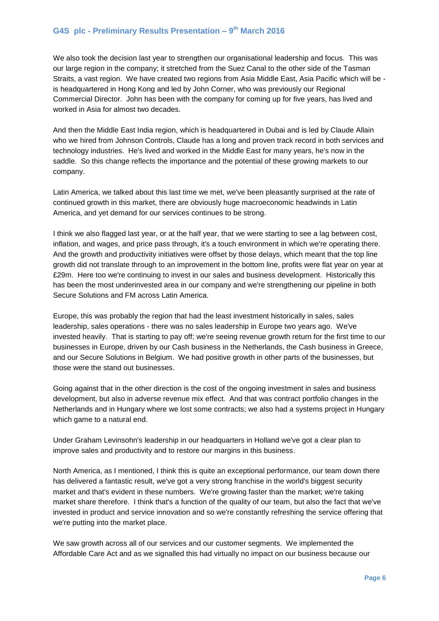We also took the decision last year to strengthen our organisational leadership and focus. This was our large region in the company; it stretched from the Suez Canal to the other side of the Tasman Straits, a vast region. We have created two regions from Asia Middle East, Asia Pacific which will be is headquartered in Hong Kong and led by John Corner, who was previously our Regional Commercial Director. John has been with the company for coming up for five years, has lived and worked in Asia for almost two decades.

And then the Middle East India region, which is headquartered in Dubai and is led by Claude Allain who we hired from Johnson Controls, Claude has a long and proven track record in both services and technology industries. He's lived and worked in the Middle East for many years, he's now in the saddle. So this change reflects the importance and the potential of these growing markets to our company.

Latin America, we talked about this last time we met, we've been pleasantly surprised at the rate of continued growth in this market, there are obviously huge macroeconomic headwinds in Latin America, and yet demand for our services continues to be strong.

I think we also flagged last year, or at the half year, that we were starting to see a lag between cost, inflation, and wages, and price pass through, it's a touch environment in which we're operating there. And the growth and productivity initiatives were offset by those delays, which meant that the top line growth did not translate through to an improvement in the bottom line, profits were flat year on year at £29m. Here too we're continuing to invest in our sales and business development. Historically this has been the most underinvested area in our company and we're strengthening our pipeline in both Secure Solutions and FM across Latin America.

Europe, this was probably the region that had the least investment historically in sales, sales leadership, sales operations - there was no sales leadership in Europe two years ago. We've invested heavily. That is starting to pay off; we're seeing revenue growth return for the first time to our businesses in Europe, driven by our Cash business in the Netherlands, the Cash business in Greece, and our Secure Solutions in Belgium. We had positive growth in other parts of the businesses, but those were the stand out businesses.

Going against that in the other direction is the cost of the ongoing investment in sales and business development, but also in adverse revenue mix effect. And that was contract portfolio changes in the Netherlands and in Hungary where we lost some contracts; we also had a systems project in Hungary which game to a natural end.

Under Graham Levinsohn's leadership in our headquarters in Holland we've got a clear plan to improve sales and productivity and to restore our margins in this business.

North America, as I mentioned, I think this is quite an exceptional performance, our team down there has delivered a fantastic result, we've got a very strong franchise in the world's biggest security market and that's evident in these numbers. We're growing faster than the market; we're taking market share therefore. I think that's a function of the quality of our team, but also the fact that we've invested in product and service innovation and so we're constantly refreshing the service offering that we're putting into the market place.

We saw growth across all of our services and our customer segments. We implemented the Affordable Care Act and as we signalled this had virtually no impact on our business because our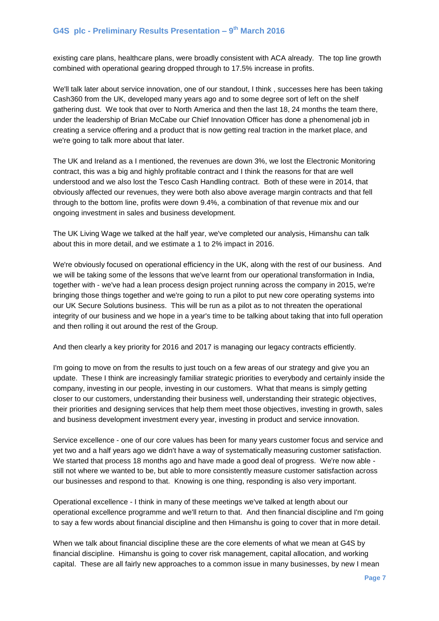existing care plans, healthcare plans, were broadly consistent with ACA already. The top line growth combined with operational gearing dropped through to 17.5% increase in profits.

We'll talk later about service innovation, one of our standout, I think , successes here has been taking Cash360 from the UK, developed many years ago and to some degree sort of left on the shelf gathering dust. We took that over to North America and then the last 18, 24 months the team there, under the leadership of Brian McCabe our Chief Innovation Officer has done a phenomenal job in creating a service offering and a product that is now getting real traction in the market place, and we're going to talk more about that later.

The UK and Ireland as a I mentioned, the revenues are down 3%, we lost the Electronic Monitoring contract, this was a big and highly profitable contract and I think the reasons for that are well understood and we also lost the Tesco Cash Handling contract. Both of these were in 2014, that obviously affected our revenues, they were both also above average margin contracts and that fell through to the bottom line, profits were down 9.4%, a combination of that revenue mix and our ongoing investment in sales and business development.

The UK Living Wage we talked at the half year, we've completed our analysis, Himanshu can talk about this in more detail, and we estimate a 1 to 2% impact in 2016.

We're obviously focused on operational efficiency in the UK, along with the rest of our business. And we will be taking some of the lessons that we've learnt from our operational transformation in India, together with - we've had a lean process design project running across the company in 2015, we're bringing those things together and we're going to run a pilot to put new core operating systems into our UK Secure Solutions business. This will be run as a pilot as to not threaten the operational integrity of our business and we hope in a year's time to be talking about taking that into full operation and then rolling it out around the rest of the Group.

And then clearly a key priority for 2016 and 2017 is managing our legacy contracts efficiently.

I'm going to move on from the results to just touch on a few areas of our strategy and give you an update. These I think are increasingly familiar strategic priorities to everybody and certainly inside the company, investing in our people, investing in our customers. What that means is simply getting closer to our customers, understanding their business well, understanding their strategic objectives, their priorities and designing services that help them meet those objectives, investing in growth, sales and business development investment every year, investing in product and service innovation.

Service excellence - one of our core values has been for many years customer focus and service and yet two and a half years ago we didn't have a way of systematically measuring customer satisfaction. We started that process 18 months ago and have made a good deal of progress. We're now able still not where we wanted to be, but able to more consistently measure customer satisfaction across our businesses and respond to that. Knowing is one thing, responding is also very important.

Operational excellence - I think in many of these meetings we've talked at length about our operational excellence programme and we'll return to that. And then financial discipline and I'm going to say a few words about financial discipline and then Himanshu is going to cover that in more detail.

When we talk about financial discipline these are the core elements of what we mean at G4S by financial discipline. Himanshu is going to cover risk management, capital allocation, and working capital. These are all fairly new approaches to a common issue in many businesses, by new I mean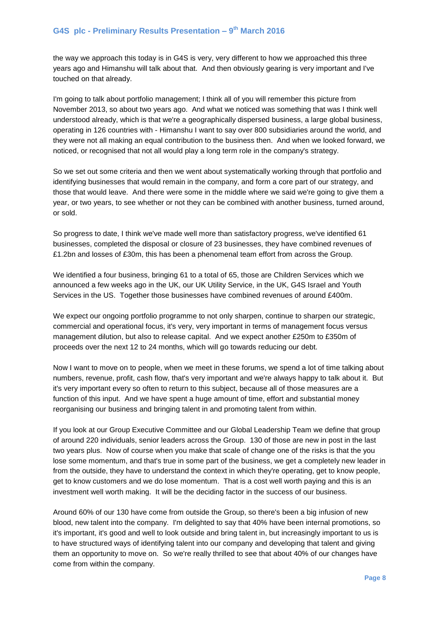the way we approach this today is in G4S is very, very different to how we approached this three years ago and Himanshu will talk about that. And then obviously gearing is very important and I've touched on that already.

I'm going to talk about portfolio management; I think all of you will remember this picture from November 2013, so about two years ago. And what we noticed was something that was I think well understood already, which is that we're a geographically dispersed business, a large global business, operating in 126 countries with - Himanshu I want to say over 800 subsidiaries around the world, and they were not all making an equal contribution to the business then. And when we looked forward, we noticed, or recognised that not all would play a long term role in the company's strategy.

So we set out some criteria and then we went about systematically working through that portfolio and identifying businesses that would remain in the company, and form a core part of our strategy, and those that would leave. And there were some in the middle where we said we're going to give them a year, or two years, to see whether or not they can be combined with another business, turned around, or sold.

So progress to date, I think we've made well more than satisfactory progress, we've identified 61 businesses, completed the disposal or closure of 23 businesses, they have combined revenues of £1.2bn and losses of £30m, this has been a phenomenal team effort from across the Group.

We identified a four business, bringing 61 to a total of 65, those are Children Services which we announced a few weeks ago in the UK, our UK Utility Service, in the UK, G4S Israel and Youth Services in the US. Together those businesses have combined revenues of around £400m.

We expect our ongoing portfolio programme to not only sharpen, continue to sharpen our strategic, commercial and operational focus, it's very, very important in terms of management focus versus management dilution, but also to release capital. And we expect another £250m to £350m of proceeds over the next 12 to 24 months, which will go towards reducing our debt.

Now I want to move on to people, when we meet in these forums, we spend a lot of time talking about numbers, revenue, profit, cash flow, that's very important and we're always happy to talk about it. But it's very important every so often to return to this subject, because all of those measures are a function of this input. And we have spent a huge amount of time, effort and substantial money reorganising our business and bringing talent in and promoting talent from within.

If you look at our Group Executive Committee and our Global Leadership Team we define that group of around 220 individuals, senior leaders across the Group. 130 of those are new in post in the last two years plus. Now of course when you make that scale of change one of the risks is that the you lose some momentum, and that's true in some part of the business, we get a completely new leader in from the outside, they have to understand the context in which they're operating, get to know people, get to know customers and we do lose momentum. That is a cost well worth paying and this is an investment well worth making. It will be the deciding factor in the success of our business.

Around 60% of our 130 have come from outside the Group, so there's been a big infusion of new blood, new talent into the company. I'm delighted to say that 40% have been internal promotions, so it's important, it's good and well to look outside and bring talent in, but increasingly important to us is to have structured ways of identifying talent into our company and developing that talent and giving them an opportunity to move on. So we're really thrilled to see that about 40% of our changes have come from within the company.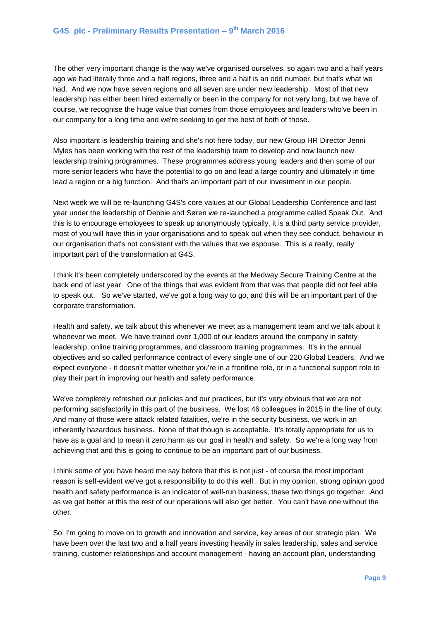The other very important change is the way we've organised ourselves, so again two and a half years ago we had literally three and a half regions, three and a half is an odd number, but that's what we had. And we now have seven regions and all seven are under new leadership. Most of that new leadership has either been hired externally or been in the company for not very long, but we have of course, we recognise the huge value that comes from those employees and leaders who've been in our company for a long time and we're seeking to get the best of both of those.

Also important is leadership training and she's not here today, our new Group HR Director Jenni Myles has been working with the rest of the leadership team to develop and now launch new leadership training programmes. These programmes address young leaders and then some of our more senior leaders who have the potential to go on and lead a large country and ultimately in time lead a region or a big function. And that's an important part of our investment in our people.

Next week we will be re-launching G4S's core values at our Global Leadership Conference and last year under the leadership of Debbie and Søren we re-launched a programme called Speak Out. And this is to encourage employees to speak up anonymously typically, it is a third party service provider, most of you will have this in your organisations and to speak out when they see conduct, behaviour in our organisation that's not consistent with the values that we espouse. This is a really, really important part of the transformation at G4S.

I think it's been completely underscored by the events at the Medway Secure Training Centre at the back end of last year. One of the things that was evident from that was that people did not feel able to speak out. So we've started, we've got a long way to go, and this will be an important part of the corporate transformation.

Health and safety, we talk about this whenever we meet as a management team and we talk about it whenever we meet. We have trained over 1,000 of our leaders around the company in safety leadership, online training programmes, and classroom training programmes. It's in the annual objectives and so called performance contract of every single one of our 220 Global Leaders. And we expect everyone - it doesn't matter whether you're in a frontline role, or in a functional support role to play their part in improving our health and safety performance.

We've completely refreshed our policies and our practices, but it's very obvious that we are not performing satisfactorily in this part of the business. We lost 46 colleagues in 2015 in the line of duty. And many of those were attack related fatalities, we're in the security business, we work in an inherently hazardous business. None of that though is acceptable. It's totally appropriate for us to have as a goal and to mean it zero harm as our goal in health and safety. So we're a long way from achieving that and this is going to continue to be an important part of our business.

I think some of you have heard me say before that this is not just - of course the most important reason is self-evident we've got a responsibility to do this well. But in my opinion, strong opinion good health and safety performance is an indicator of well-run business, these two things go together. And as we get better at this the rest of our operations will also get better. You can't have one without the other.

So, I'm going to move on to growth and innovation and service, key areas of our strategic plan. We have been over the last two and a half years investing heavily in sales leadership, sales and service training, customer relationships and account management - having an account plan, understanding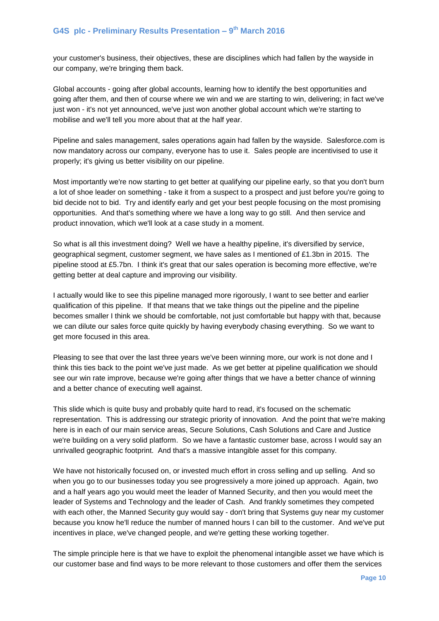your customer's business, their objectives, these are disciplines which had fallen by the wayside in our company, we're bringing them back.

Global accounts - going after global accounts, learning how to identify the best opportunities and going after them, and then of course where we win and we are starting to win, delivering; in fact we've just won - it's not yet announced, we've just won another global account which we're starting to mobilise and we'll tell you more about that at the half year.

Pipeline and sales management, sales operations again had fallen by the wayside. Salesforce.com is now mandatory across our company, everyone has to use it. Sales people are incentivised to use it properly; it's giving us better visibility on our pipeline.

Most importantly we're now starting to get better at qualifying our pipeline early, so that you don't burn a lot of shoe leader on something - take it from a suspect to a prospect and just before you're going to bid decide not to bid. Try and identify early and get your best people focusing on the most promising opportunities. And that's something where we have a long way to go still. And then service and product innovation, which we'll look at a case study in a moment.

So what is all this investment doing? Well we have a healthy pipeline, it's diversified by service, geographical segment, customer segment, we have sales as I mentioned of £1.3bn in 2015. The pipeline stood at £5.7bn. I think it's great that our sales operation is becoming more effective, we're getting better at deal capture and improving our visibility.

I actually would like to see this pipeline managed more rigorously, I want to see better and earlier qualification of this pipeline. If that means that we take things out the pipeline and the pipeline becomes smaller I think we should be comfortable, not just comfortable but happy with that, because we can dilute our sales force quite quickly by having everybody chasing everything. So we want to get more focused in this area.

Pleasing to see that over the last three years we've been winning more, our work is not done and I think this ties back to the point we've just made. As we get better at pipeline qualification we should see our win rate improve, because we're going after things that we have a better chance of winning and a better chance of executing well against.

This slide which is quite busy and probably quite hard to read, it's focused on the schematic representation. This is addressing our strategic priority of innovation. And the point that we're making here is in each of our main service areas, Secure Solutions, Cash Solutions and Care and Justice we're building on a very solid platform. So we have a fantastic customer base, across I would say an unrivalled geographic footprint. And that's a massive intangible asset for this company.

We have not historically focused on, or invested much effort in cross selling and up selling. And so when you go to our businesses today you see progressively a more joined up approach. Again, two and a half years ago you would meet the leader of Manned Security, and then you would meet the leader of Systems and Technology and the leader of Cash. And frankly sometimes they competed with each other, the Manned Security guy would say - don't bring that Systems guy near my customer because you know he'll reduce the number of manned hours I can bill to the customer. And we've put incentives in place, we've changed people, and we're getting these working together.

The simple principle here is that we have to exploit the phenomenal intangible asset we have which is our customer base and find ways to be more relevant to those customers and offer them the services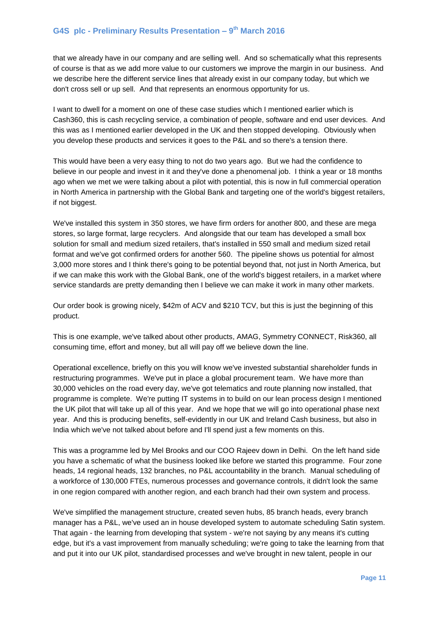that we already have in our company and are selling well. And so schematically what this represents of course is that as we add more value to our customers we improve the margin in our business. And we describe here the different service lines that already exist in our company today, but which we don't cross sell or up sell. And that represents an enormous opportunity for us.

I want to dwell for a moment on one of these case studies which I mentioned earlier which is Cash360, this is cash recycling service, a combination of people, software and end user devices. And this was as I mentioned earlier developed in the UK and then stopped developing. Obviously when you develop these products and services it goes to the P&L and so there's a tension there.

This would have been a very easy thing to not do two years ago. But we had the confidence to believe in our people and invest in it and they've done a phenomenal job. I think a year or 18 months ago when we met we were talking about a pilot with potential, this is now in full commercial operation in North America in partnership with the Global Bank and targeting one of the world's biggest retailers, if not biggest.

We've installed this system in 350 stores, we have firm orders for another 800, and these are mega stores, so large format, large recyclers. And alongside that our team has developed a small box solution for small and medium sized retailers, that's installed in 550 small and medium sized retail format and we've got confirmed orders for another 560. The pipeline shows us potential for almost 3,000 more stores and I think there's going to be potential beyond that, not just in North America, but if we can make this work with the Global Bank, one of the world's biggest retailers, in a market where service standards are pretty demanding then I believe we can make it work in many other markets.

Our order book is growing nicely, \$42m of ACV and \$210 TCV, but this is just the beginning of this product.

This is one example, we've talked about other products, AMAG, Symmetry CONNECT, Risk360, all consuming time, effort and money, but all will pay off we believe down the line.

Operational excellence, briefly on this you will know we've invested substantial shareholder funds in restructuring programmes. We've put in place a global procurement team. We have more than 30,000 vehicles on the road every day, we've got telematics and route planning now installed, that programme is complete. We're putting IT systems in to build on our lean process design I mentioned the UK pilot that will take up all of this year. And we hope that we will go into operational phase next year. And this is producing benefits, self-evidently in our UK and Ireland Cash business, but also in India which we've not talked about before and I'll spend just a few moments on this.

This was a programme led by Mel Brooks and our COO Rajeev down in Delhi. On the left hand side you have a schematic of what the business looked like before we started this programme. Four zone heads, 14 regional heads, 132 branches, no P&L accountability in the branch. Manual scheduling of a workforce of 130,000 FTEs, numerous processes and governance controls, it didn't look the same in one region compared with another region, and each branch had their own system and process.

We've simplified the management structure, created seven hubs, 85 branch heads, every branch manager has a P&L, we've used an in house developed system to automate scheduling Satin system. That again - the learning from developing that system - we're not saying by any means it's cutting edge, but it's a vast improvement from manually scheduling; we're going to take the learning from that and put it into our UK pilot, standardised processes and we've brought in new talent, people in our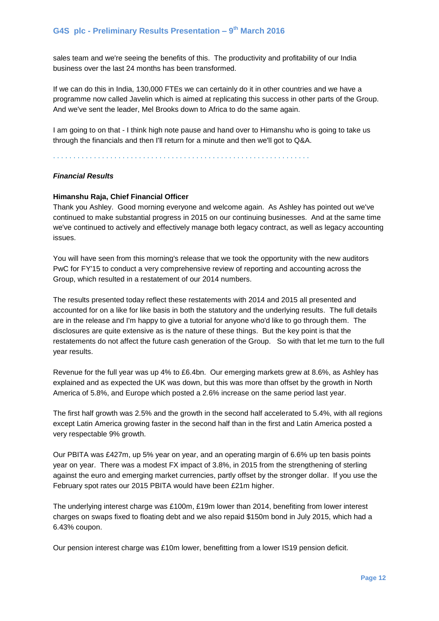sales team and we're seeing the benefits of this. The productivity and profitability of our India business over the last 24 months has been transformed.

If we can do this in India, 130,000 FTEs we can certainly do it in other countries and we have a programme now called Javelin which is aimed at replicating this success in other parts of the Group. And we've sent the leader, Mel Brooks down to Africa to do the same again.

I am going to on that - I think high note pause and hand over to Himanshu who is going to take us through the financials and then I'll return for a minute and then we'll got to Q&A.

. . . . . . . . . . . . . . . . . . . . . . . . . . . . . . . . . . . . . . . . . . . . . . . . . . . . . . . . . . . . . . .

#### *Financial Results*

#### **Himanshu Raja, Chief Financial Officer**

Thank you Ashley. Good morning everyone and welcome again. As Ashley has pointed out we've continued to make substantial progress in 2015 on our continuing businesses. And at the same time we've continued to actively and effectively manage both legacy contract, as well as legacy accounting issues.

You will have seen from this morning's release that we took the opportunity with the new auditors PwC for FY'15 to conduct a very comprehensive review of reporting and accounting across the Group, which resulted in a restatement of our 2014 numbers.

The results presented today reflect these restatements with 2014 and 2015 all presented and accounted for on a like for like basis in both the statutory and the underlying results. The full details are in the release and I'm happy to give a tutorial for anyone who'd like to go through them. The disclosures are quite extensive as is the nature of these things. But the key point is that the restatements do not affect the future cash generation of the Group. So with that let me turn to the full year results.

Revenue for the full year was up 4% to £6.4bn. Our emerging markets grew at 8.6%, as Ashley has explained and as expected the UK was down, but this was more than offset by the growth in North America of 5.8%, and Europe which posted a 2.6% increase on the same period last year.

The first half growth was 2.5% and the growth in the second half accelerated to 5.4%, with all regions except Latin America growing faster in the second half than in the first and Latin America posted a very respectable 9% growth.

Our PBITA was £427m, up 5% year on year, and an operating margin of 6.6% up ten basis points year on year. There was a modest FX impact of 3.8%, in 2015 from the strengthening of sterling against the euro and emerging market currencies, partly offset by the stronger dollar. If you use the February spot rates our 2015 PBITA would have been £21m higher.

The underlying interest charge was £100m, £19m lower than 2014, benefiting from lower interest charges on swaps fixed to floating debt and we also repaid \$150m bond in July 2015, which had a 6.43% coupon.

Our pension interest charge was £10m lower, benefitting from a lower IS19 pension deficit.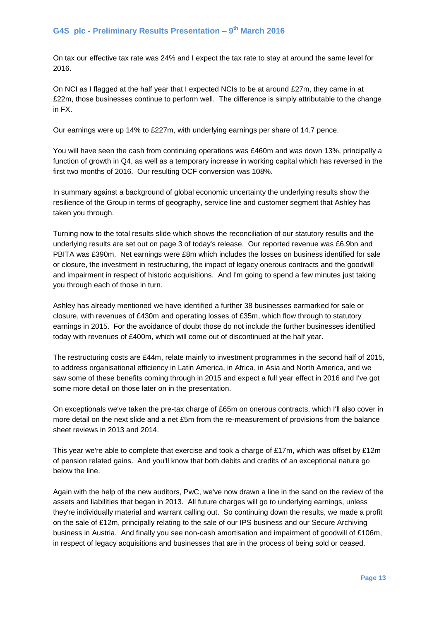On tax our effective tax rate was 24% and I expect the tax rate to stay at around the same level for 2016.

On NCI as I flagged at the half year that I expected NCIs to be at around £27m, they came in at £22m, those businesses continue to perform well. The difference is simply attributable to the change in FX.

Our earnings were up 14% to £227m, with underlying earnings per share of 14.7 pence.

You will have seen the cash from continuing operations was £460m and was down 13%, principally a function of growth in Q4, as well as a temporary increase in working capital which has reversed in the first two months of 2016. Our resulting OCF conversion was 108%.

In summary against a background of global economic uncertainty the underlying results show the resilience of the Group in terms of geography, service line and customer segment that Ashley has taken you through.

Turning now to the total results slide which shows the reconciliation of our statutory results and the underlying results are set out on page 3 of today's release. Our reported revenue was £6.9bn and PBITA was £390m. Net earnings were £8m which includes the losses on business identified for sale or closure, the investment in restructuring, the impact of legacy onerous contracts and the goodwill and impairment in respect of historic acquisitions. And I'm going to spend a few minutes just taking you through each of those in turn.

Ashley has already mentioned we have identified a further 38 businesses earmarked for sale or closure, with revenues of £430m and operating losses of £35m, which flow through to statutory earnings in 2015. For the avoidance of doubt those do not include the further businesses identified today with revenues of £400m, which will come out of discontinued at the half year.

The restructuring costs are £44m, relate mainly to investment programmes in the second half of 2015, to address organisational efficiency in Latin America, in Africa, in Asia and North America, and we saw some of these benefits coming through in 2015 and expect a full year effect in 2016 and I've got some more detail on those later on in the presentation.

On exceptionals we've taken the pre-tax charge of £65m on onerous contracts, which I'll also cover in more detail on the next slide and a net £5m from the re-measurement of provisions from the balance sheet reviews in 2013 and 2014.

This year we're able to complete that exercise and took a charge of £17m, which was offset by £12m of pension related gains. And you'll know that both debits and credits of an exceptional nature go below the line.

Again with the help of the new auditors, PwC, we've now drawn a line in the sand on the review of the assets and liabilities that began in 2013. All future charges will go to underlying earnings, unless they're individually material and warrant calling out. So continuing down the results, we made a profit on the sale of £12m, principally relating to the sale of our IPS business and our Secure Archiving business in Austria. And finally you see non-cash amortisation and impairment of goodwill of £106m, in respect of legacy acquisitions and businesses that are in the process of being sold or ceased.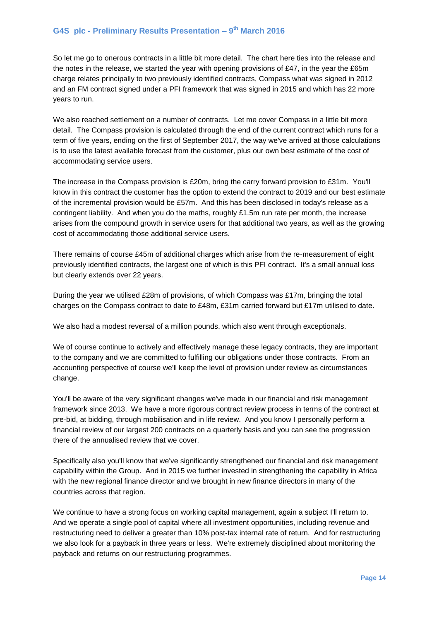So let me go to onerous contracts in a little bit more detail. The chart here ties into the release and the notes in the release, we started the year with opening provisions of £47, in the year the £65m charge relates principally to two previously identified contracts, Compass what was signed in 2012 and an FM contract signed under a PFI framework that was signed in 2015 and which has 22 more years to run.

We also reached settlement on a number of contracts. Let me cover Compass in a little bit more detail. The Compass provision is calculated through the end of the current contract which runs for a term of five years, ending on the first of September 2017, the way we've arrived at those calculations is to use the latest available forecast from the customer, plus our own best estimate of the cost of accommodating service users.

The increase in the Compass provision is £20m, bring the carry forward provision to £31m. You'll know in this contract the customer has the option to extend the contract to 2019 and our best estimate of the incremental provision would be £57m. And this has been disclosed in today's release as a contingent liability. And when you do the maths, roughly  $£1.5m$  run rate per month, the increase arises from the compound growth in service users for that additional two years, as well as the growing cost of accommodating those additional service users.

There remains of course £45m of additional charges which arise from the re-measurement of eight previously identified contracts, the largest one of which is this PFI contract. It's a small annual loss but clearly extends over 22 years.

During the year we utilised £28m of provisions, of which Compass was £17m, bringing the total charges on the Compass contract to date to £48m, £31m carried forward but £17m utilised to date.

We also had a modest reversal of a million pounds, which also went through exceptionals.

We of course continue to actively and effectively manage these legacy contracts, they are important to the company and we are committed to fulfilling our obligations under those contracts. From an accounting perspective of course we'll keep the level of provision under review as circumstances change.

You'll be aware of the very significant changes we've made in our financial and risk management framework since 2013. We have a more rigorous contract review process in terms of the contract at pre-bid, at bidding, through mobilisation and in life review. And you know I personally perform a financial review of our largest 200 contracts on a quarterly basis and you can see the progression there of the annualised review that we cover.

Specifically also you'll know that we've significantly strengthened our financial and risk management capability within the Group. And in 2015 we further invested in strengthening the capability in Africa with the new regional finance director and we brought in new finance directors in many of the countries across that region.

We continue to have a strong focus on working capital management, again a subject I'll return to. And we operate a single pool of capital where all investment opportunities, including revenue and restructuring need to deliver a greater than 10% post-tax internal rate of return. And for restructuring we also look for a payback in three years or less. We're extremely disciplined about monitoring the payback and returns on our restructuring programmes.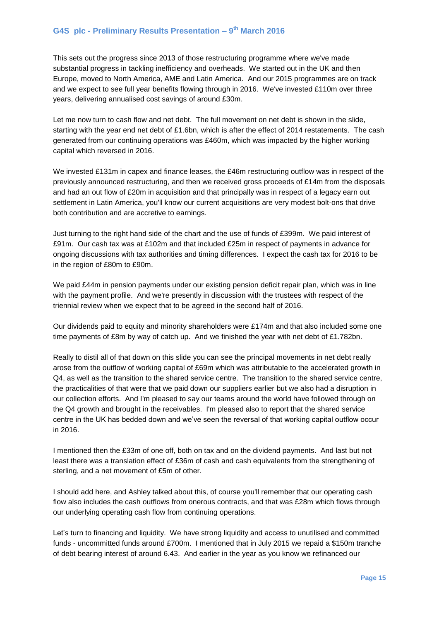This sets out the progress since 2013 of those restructuring programme where we've made substantial progress in tackling inefficiency and overheads. We started out in the UK and then Europe, moved to North America, AME and Latin America. And our 2015 programmes are on track and we expect to see full year benefits flowing through in 2016. We've invested £110m over three years, delivering annualised cost savings of around £30m.

Let me now turn to cash flow and net debt. The full movement on net debt is shown in the slide, starting with the year end net debt of £1.6bn, which is after the effect of 2014 restatements. The cash generated from our continuing operations was £460m, which was impacted by the higher working capital which reversed in 2016.

We invested £131m in capex and finance leases, the £46m restructuring outflow was in respect of the previously announced restructuring, and then we received gross proceeds of £14m from the disposals and had an out flow of £20m in acquisition and that principally was in respect of a legacy earn out settlement in Latin America, you'll know our current acquisitions are very modest bolt-ons that drive both contribution and are accretive to earnings.

Just turning to the right hand side of the chart and the use of funds of £399m. We paid interest of £91m. Our cash tax was at £102m and that included £25m in respect of payments in advance for ongoing discussions with tax authorities and timing differences. I expect the cash tax for 2016 to be in the region of £80m to £90m.

We paid £44m in pension payments under our existing pension deficit repair plan, which was in line with the payment profile. And we're presently in discussion with the trustees with respect of the triennial review when we expect that to be agreed in the second half of 2016.

Our dividends paid to equity and minority shareholders were £174m and that also included some one time payments of £8m by way of catch up. And we finished the year with net debt of £1.782bn.

Really to distil all of that down on this slide you can see the principal movements in net debt really arose from the outflow of working capital of £69m which was attributable to the accelerated growth in Q4, as well as the transition to the shared service centre. The transition to the shared service centre, the practicalities of that were that we paid down our suppliers earlier but we also had a disruption in our collection efforts. And I'm pleased to say our teams around the world have followed through on the Q4 growth and brought in the receivables. I'm pleased also to report that the shared service centre in the UK has bedded down and we've seen the reversal of that working capital outflow occur in 2016.

I mentioned then the £33m of one off, both on tax and on the dividend payments. And last but not least there was a translation effect of £36m of cash and cash equivalents from the strengthening of sterling, and a net movement of £5m of other.

I should add here, and Ashley talked about this, of course you'll remember that our operating cash flow also includes the cash outflows from onerous contracts, and that was £28m which flows through our underlying operating cash flow from continuing operations.

Let's turn to financing and liquidity. We have strong liquidity and access to unutilised and committed funds - uncommitted funds around £700m. I mentioned that in July 2015 we repaid a \$150m tranche of debt bearing interest of around 6.43. And earlier in the year as you know we refinanced our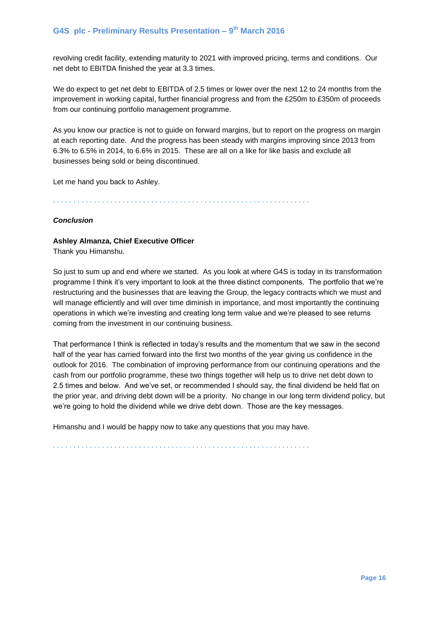revolving credit facility, extending maturity to 2021 with improved pricing, terms and conditions. Our net debt to EBITDA finished the year at 3.3 times.

We do expect to get net debt to EBITDA of 2.5 times or lower over the next 12 to 24 months from the improvement in working capital, further financial progress and from the £250m to £350m of proceeds from our continuing portfolio management programme.

As you know our practice is not to guide on forward margins, but to report on the progress on margin at each reporting date. And the progress has been steady with margins improving since 2013 from 6.3% to 6.5% in 2014, to 6.6% in 2015. These are all on a like for like basis and exclude all businesses being sold or being discontinued.

Let me hand you back to Ashley.

. . . . . . . . . . . . . . . . . . . . . . . . . . . . . . . . . . . . . . . . . . . . . . . . . . . . . . . . . . . . . . .

#### *Conclusion*

#### **Ashley Almanza, Chief Executive Officer**

Thank you Himanshu.

So just to sum up and end where we started. As you look at where G4S is today in its transformation programme I think it's very important to look at the three distinct components. The portfolio that we're restructuring and the businesses that are leaving the Group, the legacy contracts which we must and will manage efficiently and will over time diminish in importance, and most importantly the continuing operations in which we're investing and creating long term value and we're pleased to see returns coming from the investment in our continuing business.

That performance I think is reflected in today's results and the momentum that we saw in the second half of the year has carried forward into the first two months of the year giving us confidence in the outlook for 2016. The combination of improving performance from our continuing operations and the cash from our portfolio programme, these two things together will help us to drive net debt down to 2.5 times and below. And we've set, or recommended I should say, the final dividend be held flat on the prior year, and driving debt down will be a priority. No change in our long term dividend policy, but we're going to hold the dividend while we drive debt down. Those are the key messages.

Himanshu and I would be happy now to take any questions that you may have.

. . . . . . . . . . . . . . . . . . . . . . . . . . . . . . . . . . . . . . . . . . . . . . . . . . . . . . . . . . . . . . .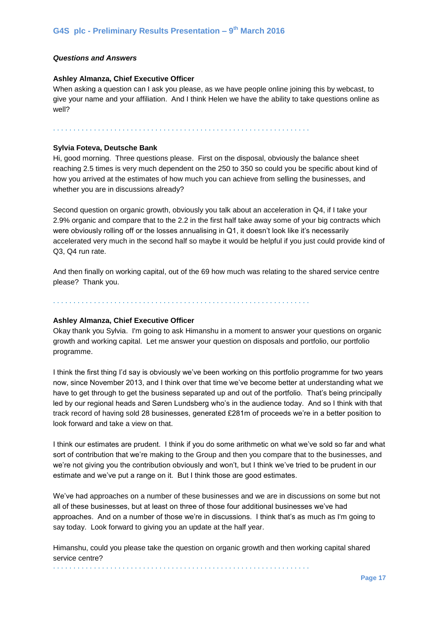#### *Questions and Answers*

#### **Ashley Almanza, Chief Executive Officer**

When asking a question can I ask you please, as we have people online joining this by webcast, to give your name and your affiliation. And I think Helen we have the ability to take questions online as well?

. . . . . . . . . . . . . . . . . . . . . . . . . . . . . . . . . . . . . . . . . . . . . . . . . . . . . . . . . . . . . . .

#### **Sylvia Foteva, Deutsche Bank**

Hi, good morning. Three questions please. First on the disposal, obviously the balance sheet reaching 2.5 times is very much dependent on the 250 to 350 so could you be specific about kind of how you arrived at the estimates of how much you can achieve from selling the businesses, and whether you are in discussions already?

Second question on organic growth, obviously you talk about an acceleration in Q4, if I take your 2.9% organic and compare that to the 2.2 in the first half take away some of your big contracts which were obviously rolling off or the losses annualising in Q1, it doesn't look like it's necessarily accelerated very much in the second half so maybe it would be helpful if you just could provide kind of Q3, Q4 run rate.

And then finally on working capital, out of the 69 how much was relating to the shared service centre please? Thank you.

. . . . . . . . . . . . . . . . . . . . . . . . . . . . . . . . . . . . . . . . . . . . . . . . . . . . . . . . . . . . . . .

#### **Ashley Almanza, Chief Executive Officer**

Okay thank you Sylvia. I'm going to ask Himanshu in a moment to answer your questions on organic growth and working capital. Let me answer your question on disposals and portfolio, our portfolio programme.

I think the first thing I'd say is obviously we've been working on this portfolio programme for two years now, since November 2013, and I think over that time we've become better at understanding what we have to get through to get the business separated up and out of the portfolio. That's being principally led by our regional heads and Søren Lundsberg who's in the audience today. And so I think with that track record of having sold 28 businesses, generated £281m of proceeds we're in a better position to look forward and take a view on that.

I think our estimates are prudent. I think if you do some arithmetic on what we've sold so far and what sort of contribution that we're making to the Group and then you compare that to the businesses, and we're not giving you the contribution obviously and won't, but I think we've tried to be prudent in our estimate and we've put a range on it. But I think those are good estimates.

We've had approaches on a number of these businesses and we are in discussions on some but not all of these businesses, but at least on three of those four additional businesses we've had approaches. And on a number of those we're in discussions. I think that's as much as I'm going to say today. Look forward to giving you an update at the half year.

Himanshu, could you please take the question on organic growth and then working capital shared service centre? . . . . . . . . . . . . . . . . . . . . . . . . . . . . . . . . . . . . . . . . . . . . . . . . . . . . . . . . . . . . . . .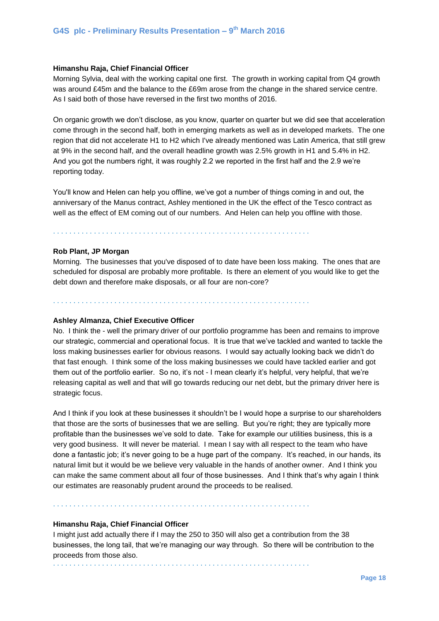#### **Himanshu Raja, Chief Financial Officer**

Morning Sylvia, deal with the working capital one first. The growth in working capital from Q4 growth was around £45m and the balance to the £69m arose from the change in the shared service centre. As I said both of those have reversed in the first two months of 2016.

On organic growth we don't disclose, as you know, quarter on quarter but we did see that acceleration come through in the second half, both in emerging markets as well as in developed markets. The one region that did not accelerate H1 to H2 which I've already mentioned was Latin America, that still grew at 9% in the second half, and the overall headline growth was 2.5% growth in H1 and 5.4% in H2. And you got the numbers right, it was roughly 2.2 we reported in the first half and the 2.9 we're reporting today.

You'll know and Helen can help you offline, we've got a number of things coming in and out, the anniversary of the Manus contract, Ashley mentioned in the UK the effect of the Tesco contract as well as the effect of EM coming out of our numbers. And Helen can help you offline with those.

. . . . . . . . . . . . . . . . . . . . . . . . . . . . . . . . . . . . . . . . . . . . . . . . . . . . . . . . . . . . . . .

### **Rob Plant, JP Morgan**

Morning. The businesses that you've disposed of to date have been loss making. The ones that are scheduled for disposal are probably more profitable. Is there an element of you would like to get the debt down and therefore make disposals, or all four are non-core?

. . . . . . . . . . . . . . . . . . . . . . . . . . . . . . . . . . . . . . . . . . . . . . . . . . . . . . . . . . . . . . .

#### **Ashley Almanza, Chief Executive Officer**

No. I think the - well the primary driver of our portfolio programme has been and remains to improve our strategic, commercial and operational focus. It is true that we've tackled and wanted to tackle the loss making businesses earlier for obvious reasons. I would say actually looking back we didn't do that fast enough. I think some of the loss making businesses we could have tackled earlier and got them out of the portfolio earlier. So no, it's not - I mean clearly it's helpful, very helpful, that we're releasing capital as well and that will go towards reducing our net debt, but the primary driver here is strategic focus.

And I think if you look at these businesses it shouldn't be I would hope a surprise to our shareholders that those are the sorts of businesses that we are selling. But you're right; they are typically more profitable than the businesses we've sold to date. Take for example our utilities business, this is a very good business. It will never be material. I mean I say with all respect to the team who have done a fantastic job; it's never going to be a huge part of the company. It's reached, in our hands, its natural limit but it would be we believe very valuable in the hands of another owner. And I think you can make the same comment about all four of those businesses. And I think that's why again I think our estimates are reasonably prudent around the proceeds to be realised.

. . . . . . . . . . . . . . . . . . . . . . . . . . . . . . . . . . . . . . . . . . . . . . . . . . . . . . . . . . . . . . .

#### **Himanshu Raja, Chief Financial Officer**

I might just add actually there if I may the 250 to 350 will also get a contribution from the 38 businesses, the long tail, that we're managing our way through. So there will be contribution to the proceeds from those also.

. . . . . . . . . . . . . . . . . . . . . . . . . . . . . . . . . . . . . . . . . . . . . . . . . . . . . . . . . . . . . . .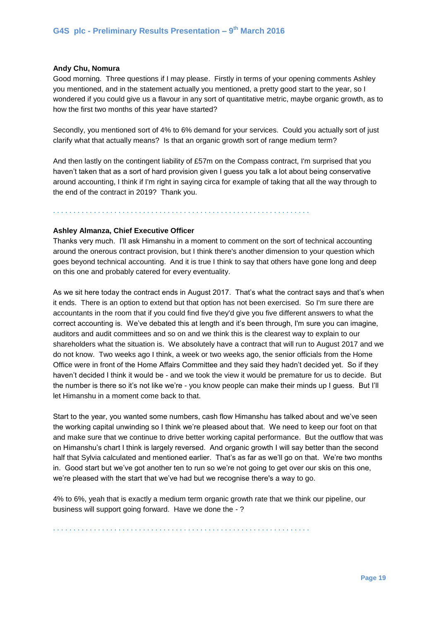#### **Andy Chu, Nomura**

Good morning. Three questions if I may please. Firstly in terms of your opening comments Ashley you mentioned, and in the statement actually you mentioned, a pretty good start to the year, so I wondered if you could give us a flavour in any sort of quantitative metric, maybe organic growth, as to how the first two months of this year have started?

Secondly, you mentioned sort of 4% to 6% demand for your services. Could you actually sort of just clarify what that actually means? Is that an organic growth sort of range medium term?

And then lastly on the contingent liability of £57m on the Compass contract, I'm surprised that you haven't taken that as a sort of hard provision given I guess you talk a lot about being conservative around accounting, I think if I'm right in saying circa for example of taking that all the way through to the end of the contract in 2019? Thank you.

. . . . . . . . . . . . . . . . . . . . . . . . . . . . . . . . . . . . . . . . . . . . . . . . . . . . . . . . . . . . . . .

# **Ashley Almanza, Chief Executive Officer**

Thanks very much. I'll ask Himanshu in a moment to comment on the sort of technical accounting around the onerous contract provision, but I think there's another dimension to your question which goes beyond technical accounting. And it is true I think to say that others have gone long and deep on this one and probably catered for every eventuality.

As we sit here today the contract ends in August 2017. That's what the contract says and that's when it ends. There is an option to extend but that option has not been exercised. So I'm sure there are accountants in the room that if you could find five they'd give you five different answers to what the correct accounting is. We've debated this at length and it's been through, I'm sure you can imagine, auditors and audit committees and so on and we think this is the clearest way to explain to our shareholders what the situation is. We absolutely have a contract that will run to August 2017 and we do not know. Two weeks ago I think, a week or two weeks ago, the senior officials from the Home Office were in front of the Home Affairs Committee and they said they hadn't decided yet. So if they haven't decided I think it would be - and we took the view it would be premature for us to decide. But the number is there so it's not like we're - you know people can make their minds up I guess. But I'll let Himanshu in a moment come back to that.

Start to the year, you wanted some numbers, cash flow Himanshu has talked about and we've seen the working capital unwinding so I think we're pleased about that. We need to keep our foot on that and make sure that we continue to drive better working capital performance. But the outflow that was on Himanshu's chart I think is largely reversed. And organic growth I will say better than the second half that Sylvia calculated and mentioned earlier. That's as far as we'll go on that. We're two months in. Good start but we've got another ten to run so we're not going to get over our skis on this one, we're pleased with the start that we've had but we recognise there's a way to go.

4% to 6%, yeah that is exactly a medium term organic growth rate that we think our pipeline, our business will support going forward. Have we done the - ?

. . . . . . . . . . . . . . . . . . . . . . . . . . . . . . . . . . . . . . . . . . . . . . . . . . . . . . . . . . . . . . .

**Page 19**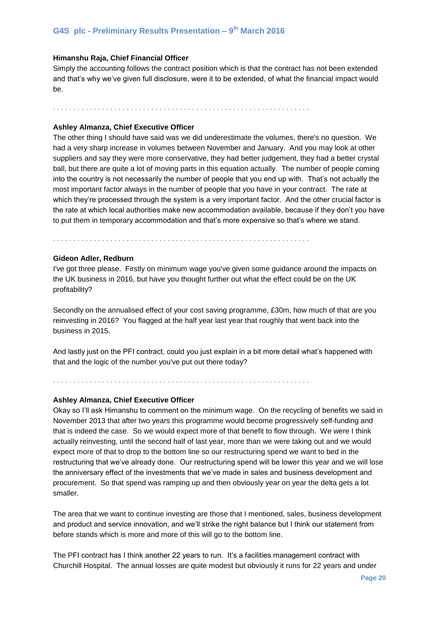#### **Himanshu Raja, Chief Financial Officer**

Simply the accounting follows the contract position which is that the contract has not been extended and that's why we've given full disclosure, were it to be extended, of what the financial impact would be.

. . . . . . . . . . . . . . . . . . . . . . . . . . . . . . . . . . . . . . . . . . . . . . . . . . . . . . . . . . . . . . .

#### **Ashley Almanza, Chief Executive Officer**

The other thing I should have said was we did underestimate the volumes, there's no question. We had a very sharp increase in volumes between November and January. And you may look at other suppliers and say they were more conservative, they had better judgement, they had a better crystal ball, but there are quite a lot of moving parts in this equation actually. The number of people coming into the country is not necessarily the number of people that you end up with. That's not actually the most important factor always in the number of people that you have in your contract. The rate at which they're processed through the system is a very important factor. And the other crucial factor is the rate at which local authorities make new accommodation available, because if they don't you have to put them in temporary accommodation and that's more expensive so that's where we stand.

. . . . . . . . . . . . . . . . . . . . . . . . . . . . . . . . . . . . . . . . . . . . . . . . . . . . . . . . . . . . . . .

. . . . . . . . . . . . . . . . . . . . . . . . . . . . . . . . . . . . . . . . . . . . . . . . . . . . . . . . . . . . . . .

#### **Gideon Adler, Redburn**

I've got three please. Firstly on minimum wage you've given some guidance around the impacts on the UK business in 2016, but have you thought further out what the effect could be on the UK profitability?

Secondly on the annualised effect of your cost saving programme, £30m, how much of that are you reinvesting in 2016? You flagged at the half year last year that roughly that went back into the business in 2015.

And lastly just on the PFI contract, could you just explain in a bit more detail what's happened with that and the logic of the number you've put out there today?

#### **Ashley Almanza, Chief Executive Officer**

Okay so I'll ask Himanshu to comment on the minimum wage. On the recycling of benefits we said in November 2013 that after two years this programme would become progressively self-funding and that is indeed the case. So we would expect more of that benefit to flow through. We were I think actually reinvesting, until the second half of last year, more than we were taking out and we would expect more of that to drop to the bottom line so our restructuring spend we want to bed in the restructuring that we've already done. Our restructuring spend will be lower this year and we will lose the anniversary effect of the investments that we've made in sales and business development and procurement. So that spend was ramping up and then obviously year on year the delta gets a lot smaller.

The area that we want to continue investing are those that I mentioned, sales, business development and product and service innovation, and we'll strike the right balance but I think our statement from before stands which is more and more of this will go to the bottom line.

The PFI contract has I think another 22 years to run. It's a facilities management contract with Churchill Hospital. The annual losses are quite modest but obviously it runs for 22 years and under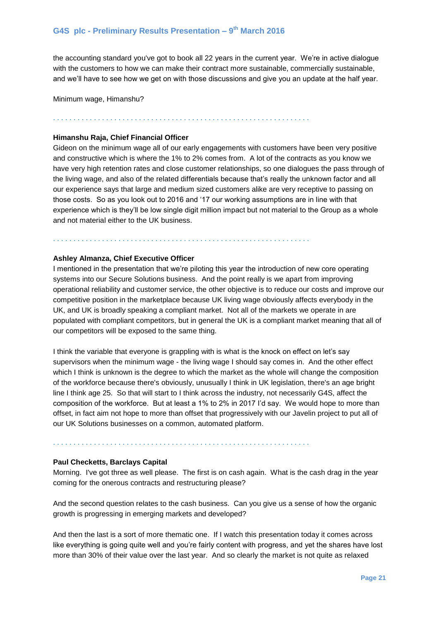the accounting standard you've got to book all 22 years in the current year. We're in active dialogue with the customers to how we can make their contract more sustainable, commercially sustainable, and we'll have to see how we get on with those discussions and give you an update at the half year.

. . . . . . . . . . . . . . . . . . . . . . . . . . . . . . . . . . . . . . . . . . . . . . . . . . . . . . . . . . . . . . .

Minimum wage, Himanshu?

# **Himanshu Raja, Chief Financial Officer**

Gideon on the minimum wage all of our early engagements with customers have been very positive and constructive which is where the 1% to 2% comes from. A lot of the contracts as you know we have very high retention rates and close customer relationships, so one dialogues the pass through of the living wage, and also of the related differentials because that's really the unknown factor and all our experience says that large and medium sized customers alike are very receptive to passing on those costs. So as you look out to 2016 and '17 our working assumptions are in line with that experience which is they'll be low single digit million impact but not material to the Group as a whole and not material either to the UK business.

. . . . . . . . . . . . . . . . . . . . . . . . . . . . . . . . . . . . . . . . . . . . . . . . . . . . . . . . . . . . . . .

#### **Ashley Almanza, Chief Executive Officer**

I mentioned in the presentation that we're piloting this year the introduction of new core operating systems into our Secure Solutions business. And the point really is we apart from improving operational reliability and customer service, the other objective is to reduce our costs and improve our competitive position in the marketplace because UK living wage obviously affects everybody in the UK, and UK is broadly speaking a compliant market. Not all of the markets we operate in are populated with compliant competitors, but in general the UK is a compliant market meaning that all of our competitors will be exposed to the same thing.

I think the variable that everyone is grappling with is what is the knock on effect on let's say supervisors when the minimum wage - the living wage I should say comes in. And the other effect which I think is unknown is the degree to which the market as the whole will change the composition of the workforce because there's obviously, unusually I think in UK legislation, there's an age bright line I think age 25. So that will start to I think across the industry, not necessarily G4S, affect the composition of the workforce. But at least a 1% to 2% in 2017 I'd say. We would hope to more than offset, in fact aim not hope to more than offset that progressively with our Javelin project to put all of our UK Solutions businesses on a common, automated platform.

. . . . . . . . . . . . . . . . . . . . . . . . . . . . . . . . . . . . . . . . . . . . . . . . . . . . . . . . . . . . . . .

#### **Paul Checketts, Barclays Capital**

Morning. I've got three as well please. The first is on cash again. What is the cash drag in the year coming for the onerous contracts and restructuring please?

And the second question relates to the cash business. Can you give us a sense of how the organic growth is progressing in emerging markets and developed?

And then the last is a sort of more thematic one. If I watch this presentation today it comes across like everything is going quite well and you're fairly content with progress, and yet the shares have lost more than 30% of their value over the last year. And so clearly the market is not quite as relaxed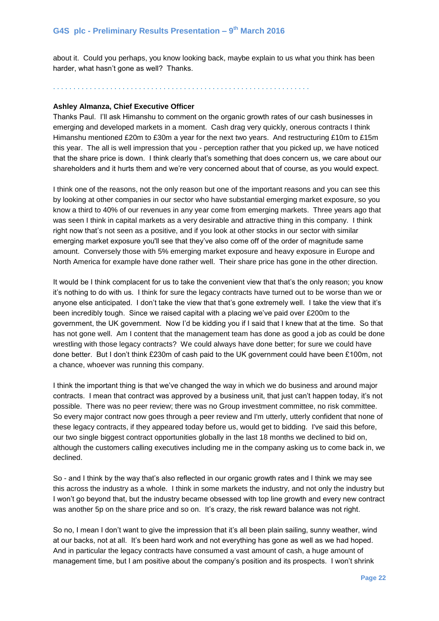about it. Could you perhaps, you know looking back, maybe explain to us what you think has been harder, what hasn't gone as well? Thanks.

. . . . . . . . . . . . . . . . . . . . . . . . . . . . . . . . . . . . . . . . . . . . . . . . . . . . . . . . . . . . . . .

#### **Ashley Almanza, Chief Executive Officer**

Thanks Paul. I'll ask Himanshu to comment on the organic growth rates of our cash businesses in emerging and developed markets in a moment. Cash drag very quickly, onerous contracts I think Himanshu mentioned £20m to £30m a year for the next two years. And restructuring £10m to £15m this year. The all is well impression that you - perception rather that you picked up, we have noticed that the share price is down. I think clearly that's something that does concern us, we care about our shareholders and it hurts them and we're very concerned about that of course, as you would expect.

I think one of the reasons, not the only reason but one of the important reasons and you can see this by looking at other companies in our sector who have substantial emerging market exposure, so you know a third to 40% of our revenues in any year come from emerging markets. Three years ago that was seen I think in capital markets as a very desirable and attractive thing in this company. I think right now that's not seen as a positive, and if you look at other stocks in our sector with similar emerging market exposure you'll see that they've also come off of the order of magnitude same amount. Conversely those with 5% emerging market exposure and heavy exposure in Europe and North America for example have done rather well. Their share price has gone in the other direction.

It would be I think complacent for us to take the convenient view that that's the only reason; you know it's nothing to do with us. I think for sure the legacy contracts have turned out to be worse than we or anyone else anticipated. I don't take the view that that's gone extremely well. I take the view that it's been incredibly tough. Since we raised capital with a placing we've paid over £200m to the government, the UK government. Now I'd be kidding you if I said that I knew that at the time. So that has not gone well. Am I content that the management team has done as good a job as could be done wrestling with those legacy contracts? We could always have done better; for sure we could have done better. But I don't think £230m of cash paid to the UK government could have been £100m, not a chance, whoever was running this company.

I think the important thing is that we've changed the way in which we do business and around major contracts. I mean that contract was approved by a business unit, that just can't happen today, it's not possible. There was no peer review; there was no Group investment committee, no risk committee. So every major contract now goes through a peer review and I'm utterly, utterly confident that none of these legacy contracts, if they appeared today before us, would get to bidding. I've said this before, our two single biggest contract opportunities globally in the last 18 months we declined to bid on, although the customers calling executives including me in the company asking us to come back in, we declined.

So - and I think by the way that's also reflected in our organic growth rates and I think we may see this across the industry as a whole. I think in some markets the industry, and not only the industry but I won't go beyond that, but the industry became obsessed with top line growth and every new contract was another 5p on the share price and so on. It's crazy, the risk reward balance was not right.

So no, I mean I don't want to give the impression that it's all been plain sailing, sunny weather, wind at our backs, not at all. It's been hard work and not everything has gone as well as we had hoped. And in particular the legacy contracts have consumed a vast amount of cash, a huge amount of management time, but I am positive about the company's position and its prospects. I won't shrink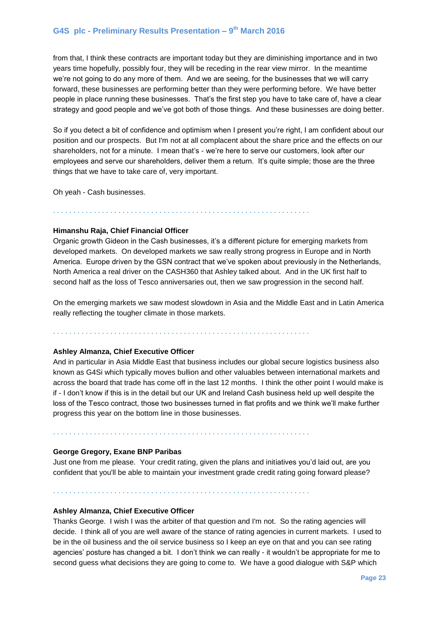from that, I think these contracts are important today but they are diminishing importance and in two years time hopefully, possibly four, they will be receding in the rear view mirror. In the meantime we're not going to do any more of them. And we are seeing, for the businesses that we will carry forward, these businesses are performing better than they were performing before. We have better people in place running these businesses. That's the first step you have to take care of, have a clear strategy and good people and we've got both of those things. And these businesses are doing better.

So if you detect a bit of confidence and optimism when I present you're right, I am confident about our position and our prospects. But I'm not at all complacent about the share price and the effects on our shareholders, not for a minute. I mean that's - we're here to serve our customers, look after our employees and serve our shareholders, deliver them a return. It's quite simple; those are the three things that we have to take care of, very important.

Oh yeah - Cash businesses.

. . . . . . . . . . . . . . . . . . . . . . . . . . . . . . . . . . . . . . . . . . . . . . . . . . . . . . . . . . . . . . .

#### **Himanshu Raja, Chief Financial Officer**

Organic growth Gideon in the Cash businesses, it's a different picture for emerging markets from developed markets. On developed markets we saw really strong progress in Europe and in North America. Europe driven by the GSN contract that we've spoken about previously in the Netherlands, North America a real driver on the CASH360 that Ashley talked about. And in the UK first half to second half as the loss of Tesco anniversaries out, then we saw progression in the second half.

On the emerging markets we saw modest slowdown in Asia and the Middle East and in Latin America really reflecting the tougher climate in those markets.

. . . . . . . . . . . . . . . . . . . . . . . . . . . . . . . . . . . . . . . . . . . . . . . . . . . . . . . . . . . . . . .

#### **Ashley Almanza, Chief Executive Officer**

And in particular in Asia Middle East that business includes our global secure logistics business also known as G4Si which typically moves bullion and other valuables between international markets and across the board that trade has come off in the last 12 months. I think the other point I would make is if - I don't know if this is in the detail but our UK and Ireland Cash business held up well despite the loss of the Tesco contract, those two businesses turned in flat profits and we think we'll make further progress this year on the bottom line in those businesses.

#### **George Gregory, Exane BNP Paribas**

Just one from me please. Your credit rating, given the plans and initiatives you'd laid out, are you confident that you'll be able to maintain your investment grade credit rating going forward please?

. . . . . . . . . . . . . . . . . . . . . . . . . . . . . . . . . . . . . . . . . . . . . . . . . . . . . . . . . . . . . . .

. . . . . . . . . . . . . . . . . . . . . . . . . . . . . . . . . . . . . . . . . . . . . . . . . . . . . . . . . . . . . . .

#### **Ashley Almanza, Chief Executive Officer**

Thanks George. I wish I was the arbiter of that question and I'm not. So the rating agencies will decide. I think all of you are well aware of the stance of rating agencies in current markets. I used to be in the oil business and the oil service business so I keep an eye on that and you can see rating agencies' posture has changed a bit. I don't think we can really - it wouldn't be appropriate for me to second guess what decisions they are going to come to. We have a good dialogue with S&P which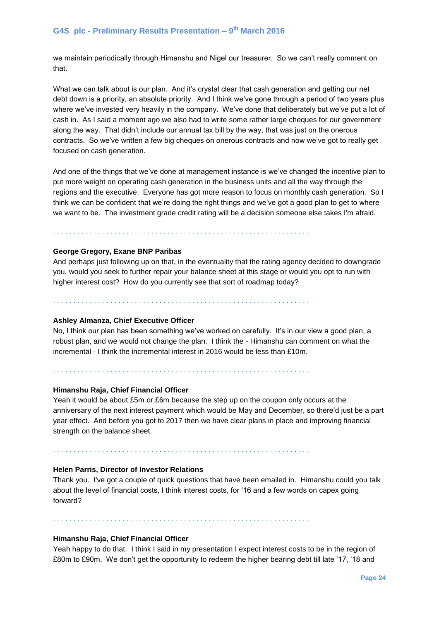we maintain periodically through Himanshu and Nigel our treasurer. So we can't really comment on that.

What we can talk about is our plan. And it's crystal clear that cash generation and getting our net debt down is a priority, an absolute priority. And I think we've gone through a period of two years plus where we've invested very heavily in the company. We've done that deliberately but we've put a lot of cash in. As I said a moment ago we also had to write some rather large cheques for our government along the way. That didn't include our annual tax bill by the way, that was just on the onerous contracts. So we've written a few big cheques on onerous contracts and now we've got to really get focused on cash generation.

And one of the things that we've done at management instance is we've changed the incentive plan to put more weight on operating cash generation in the business units and all the way through the regions and the executive. Everyone has got more reason to focus on monthly cash generation. So I think we can be confident that we're doing the right things and we've got a good plan to get to where we want to be. The investment grade credit rating will be a decision someone else takes I'm afraid.

. . . . . . . . . . . . . . . . . . . . . . . . . . . . . . . . . . . . . . . . . . . . . . . . . . . . . . . . . . . . . . .

#### **George Gregory, Exane BNP Paribas**

And perhaps just following up on that, in the eventuality that the rating agency decided to downgrade you, would you seek to further repair your balance sheet at this stage or would you opt to run with higher interest cost? How do you currently see that sort of roadmap today?

. . . . . . . . . . . . . . . . . . . . . . . . . . . . . . . . . . . . . . . . . . . . . . . . . . . . . . . . . . . . . . .

. . . . . . . . . . . . . . . . . . . . . . . . . . . . . . . . . . . . . . . . . . . . . . . . . . . . . . . . . . . . . . .

# **Ashley Almanza, Chief Executive Officer**

No, I think our plan has been something we've worked on carefully. It's in our view a good plan, a robust plan, and we would not change the plan. I think the - Himanshu can comment on what the incremental - I think the incremental interest in 2016 would be less than £10m.

#### **Himanshu Raja, Chief Financial Officer**

Yeah it would be about £5m or £6m because the step up on the coupon only occurs at the anniversary of the next interest payment which would be May and December, so there'd just be a part year effect. And before you got to 2017 then we have clear plans in place and improving financial strength on the balance sheet.

. . . . . . . . . . . . . . . . . . . . . . . . . . . . . . . . . . . . . . . . . . . . . . . . . . . . . . . . . . . . . . .

#### **Helen Parris, Director of Investor Relations**

Thank you. I've got a couple of quick questions that have been emailed in. Himanshu could you talk about the level of financial costs, I think interest costs, for '16 and a few words on capex going forward?

. . . . . . . . . . . . . . . . . . . . . . . . . . . . . . . . . . . . . . . . . . . . . . . . . . . . . . . . . . . . . . .

#### **Himanshu Raja, Chief Financial Officer**

Yeah happy to do that. I think I said in my presentation I expect interest costs to be in the region of £80m to £90m. We don't get the opportunity to redeem the higher bearing debt till late '17, '18 and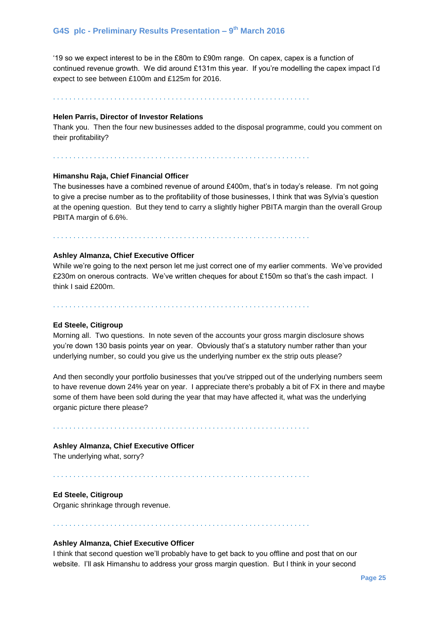'19 so we expect interest to be in the £80m to £90m range. On capex, capex is a function of continued revenue growth. We did around £131m this year. If you're modelling the capex impact I'd expect to see between £100m and £125m for 2016.

. . . . . . . . . . . . . . . . . . . . . . . . . . . . . . . . . . . . . . . . . . . . . . . . . . . . . . . . . . . . . . .

#### **Helen Parris, Director of Investor Relations**

Thank you. Then the four new businesses added to the disposal programme, could you comment on their profitability?

. . . . . . . . . . . . . . . . . . . . . . . . . . . . . . . . . . . . . . . . . . . . . . . . . . . . . . . . . . . . . . .

#### **Himanshu Raja, Chief Financial Officer**

The businesses have a combined revenue of around £400m, that's in today's release. I'm not going to give a precise number as to the profitability of those businesses, I think that was Sylvia's question at the opening question. But they tend to carry a slightly higher PBITA margin than the overall Group PBITA margin of 6.6%.

. . . . . . . . . . . . . . . . . . . . . . . . . . . . . . . . . . . . . . . . . . . . . . . . . . . . . . . . . . . . . . .

#### **Ashley Almanza, Chief Executive Officer**

While we're going to the next person let me just correct one of my earlier comments. We've provided £230m on onerous contracts. We've written cheques for about £150m so that's the cash impact. I think I said £200m.

. . . . . . . . . . . . . . . . . . . . . . . . . . . . . . . . . . . . . . . . . . . . . . . . . . . . . . . . . . . . . . .

#### **Ed Steele, Citigroup**

Morning all. Two questions. In note seven of the accounts your gross margin disclosure shows you're down 130 basis points year on year. Obviously that's a statutory number rather than your underlying number, so could you give us the underlying number ex the strip outs please?

And then secondly your portfolio businesses that you've stripped out of the underlying numbers seem to have revenue down 24% year on year. I appreciate there's probably a bit of FX in there and maybe some of them have been sold during the year that may have affected it, what was the underlying organic picture there please?

. . . . . . . . . . . . . . . . . . . . . . . . . . . . . . . . . . . . . . . . . . . . . . . . . . . . . . . . . . . . . . .

#### **Ashley Almanza, Chief Executive Officer**

The underlying what, sorry?

. . . . . . . . . . . . . . . . . . . . . . . . . . . . . . . . . . . . . . . . . . . . . . . . . . . . . . . . . . . . . . .

**Ed Steele, Citigroup**

Organic shrinkage through revenue.

. . . . . . . . . . . . . . . . . . . . . . . . . . . . . . . . . . . . . . . . . . . . . . . . . . . . . . . . . . . . . . .

# **Ashley Almanza, Chief Executive Officer**

I think that second question we'll probably have to get back to you offline and post that on our website. I'll ask Himanshu to address your gross margin question. But I think in your second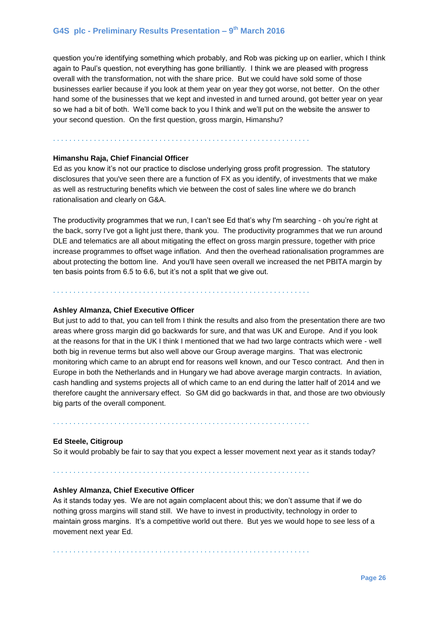question you're identifying something which probably, and Rob was picking up on earlier, which I think again to Paul's question, not everything has gone brilliantly. I think we are pleased with progress overall with the transformation, not with the share price. But we could have sold some of those businesses earlier because if you look at them year on year they got worse, not better. On the other hand some of the businesses that we kept and invested in and turned around, got better year on year so we had a bit of both. We'll come back to you I think and we'll put on the website the answer to your second question. On the first question, gross margin, Himanshu?

#### . . . . . . . . . . . . . . . . . . . . . . . . . . . . . . . . . . . . . . . . . . . . . . . . . . . . . . . . . . . . . . .

#### **Himanshu Raja, Chief Financial Officer**

Ed as you know it's not our practice to disclose underlying gross profit progression. The statutory disclosures that you've seen there are a function of FX as you identify, of investments that we make as well as restructuring benefits which vie between the cost of sales line where we do branch rationalisation and clearly on G&A.

The productivity programmes that we run, I can't see Ed that's why I'm searching - oh you're right at the back, sorry I've got a light just there, thank you. The productivity programmes that we run around DLE and telematics are all about mitigating the effect on gross margin pressure, together with price increase programmes to offset wage inflation. And then the overhead rationalisation programmes are about protecting the bottom line. And you'll have seen overall we increased the net PBITA margin by ten basis points from 6.5 to 6.6, but it's not a split that we give out.

. . . . . . . . . . . . . . . . . . . . . . . . . . . . . . . . . . . . . . . . . . . . . . . . . . . . . . . . . . . . . . .

#### **Ashley Almanza, Chief Executive Officer**

But just to add to that, you can tell from I think the results and also from the presentation there are two areas where gross margin did go backwards for sure, and that was UK and Europe. And if you look at the reasons for that in the UK I think I mentioned that we had two large contracts which were - well both big in revenue terms but also well above our Group average margins. That was electronic monitoring which came to an abrupt end for reasons well known, and our Tesco contract. And then in Europe in both the Netherlands and in Hungary we had above average margin contracts. In aviation, cash handling and systems projects all of which came to an end during the latter half of 2014 and we therefore caught the anniversary effect. So GM did go backwards in that, and those are two obviously big parts of the overall component.

. . . . . . . . . . . . . . . . . . . . . . . . . . . . . . . . . . . . . . . . . . . . . . . . . . . . . . . . . . . . . . .

# **Ed Steele, Citigroup**

So it would probably be fair to say that you expect a lesser movement next year as it stands today?

. . . . . . . . . . . . . . . . . . . . . . . . . . . . . . . . . . . . . . . . . . . . . . . . . . . . . . . . . . . . . . .

#### **Ashley Almanza, Chief Executive Officer**

As it stands today yes. We are not again complacent about this; we don't assume that if we do nothing gross margins will stand still. We have to invest in productivity, technology in order to maintain gross margins. It's a competitive world out there. But yes we would hope to see less of a movement next year Ed.

. . . . . . . . . . . . . . . . . . . . . . . . . . . . . . . . . . . . . . . . . . . . . . . . . . . . . . . . . . . . . . .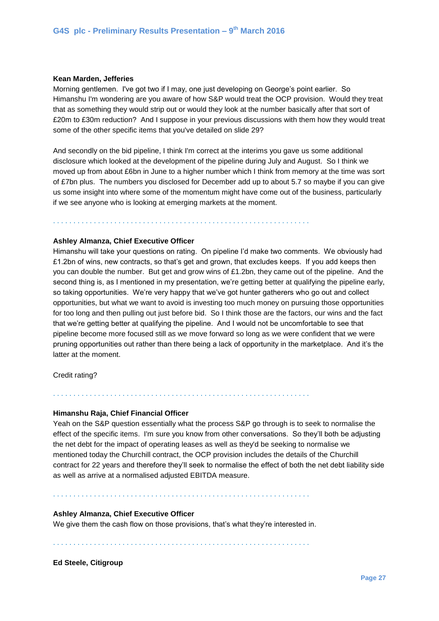#### **Kean Marden, Jefferies**

Morning gentlemen. I've got two if I may, one just developing on George's point earlier. So Himanshu I'm wondering are you aware of how S&P would treat the OCP provision. Would they treat that as something they would strip out or would they look at the number basically after that sort of £20m to £30m reduction? And I suppose in your previous discussions with them how they would treat some of the other specific items that you've detailed on slide 29?

And secondly on the bid pipeline, I think I'm correct at the interims you gave us some additional disclosure which looked at the development of the pipeline during July and August. So I think we moved up from about £6bn in June to a higher number which I think from memory at the time was sort of £7bn plus. The numbers you disclosed for December add up to about 5.7 so maybe if you can give us some insight into where some of the momentum might have come out of the business, particularly if we see anyone who is looking at emerging markets at the moment.

. . . . . . . . . . . . . . . . . . . . . . . . . . . . . . . . . . . . . . . . . . . . . . . . . . . . . . . . . . . . . . .

#### **Ashley Almanza, Chief Executive Officer**

Himanshu will take your questions on rating. On pipeline I'd make two comments. We obviously had £1.2bn of wins, new contracts, so that's get and grown, that excludes keeps. If you add keeps then you can double the number. But get and grow wins of £1.2bn, they came out of the pipeline. And the second thing is, as I mentioned in my presentation, we're getting better at qualifying the pipeline early, so taking opportunities. We're very happy that we've got hunter gatherers who go out and collect opportunities, but what we want to avoid is investing too much money on pursuing those opportunities for too long and then pulling out just before bid. So I think those are the factors, our wins and the fact that we're getting better at qualifying the pipeline. And I would not be uncomfortable to see that pipeline become more focused still as we move forward so long as we were confident that we were pruning opportunities out rather than there being a lack of opportunity in the marketplace. And it's the latter at the moment.

Credit rating?

#### **Himanshu Raja, Chief Financial Officer**

Yeah on the S&P question essentially what the process S&P go through is to seek to normalise the effect of the specific items. I'm sure you know from other conversations. So they'll both be adjusting the net debt for the impact of operating leases as well as they'd be seeking to normalise we mentioned today the Churchill contract, the OCP provision includes the details of the Churchill contract for 22 years and therefore they'll seek to normalise the effect of both the net debt liability side as well as arrive at a normalised adjusted EBITDA measure.

. . . . . . . . . . . . . . . . . . . . . . . . . . . . . . . . . . . . . . . . . . . . . . . . . . . . . . . . . . . . . . .

#### **Ashley Almanza, Chief Executive Officer**

We give them the cash flow on those provisions, that's what they're interested in.

. . . . . . . . . . . . . . . . . . . . . . . . . . . . . . . . . . . . . . . . . . . . . . . . . . . . . . . . . . . . . . .

. . . . . . . . . . . . . . . . . . . . . . . . . . . . . . . . . . . . . . . . . . . . . . . . . . . . . . . . . . . . . . .

**Ed Steele, Citigroup**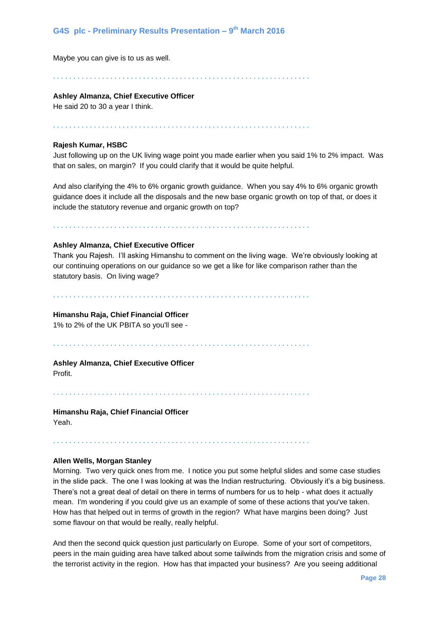Maybe you can give is to us as well.

. . . . . . . . . . . . . . . . . . . . . . . . . . . . . . . . . . . . . . . . . . . . . . . . . . . . . . . . . . . . . . .

#### **Ashley Almanza, Chief Executive Officer**

He said 20 to 30 a year I think.

. . . . . . . . . . . . . . . . . . . . . . . . . . . . . . . . . . . . . . . . . . . . . . . . . . . . . . . . . . . . . . .

#### **Rajesh Kumar, HSBC**

Just following up on the UK living wage point you made earlier when you said 1% to 2% impact. Was that on sales, on margin? If you could clarify that it would be quite helpful.

And also clarifying the 4% to 6% organic growth guidance. When you say 4% to 6% organic growth guidance does it include all the disposals and the new base organic growth on top of that, or does it include the statutory revenue and organic growth on top?

. . . . . . . . . . . . . . . . . . . . . . . . . . . . . . . . . . . . . . . . . . . . . . . . . . . . . . . . . . . . . . .

## **Ashley Almanza, Chief Executive Officer**

Thank you Rajesh. I'll asking Himanshu to comment on the living wage. We're obviously looking at our continuing operations on our guidance so we get a like for like comparison rather than the statutory basis. On living wage?

. . . . . . . . . . . . . . . . . . . . . . . . . . . . . . . . . . . . . . . . . . . . . . . . . . . . . . . . . . . . . . .

#### **Himanshu Raja, Chief Financial Officer**

1% to 2% of the UK PBITA so you'll see -

. . . . . . . . . . . . . . . . . . . . . . . . . . . . . . . . . . . . . . . . . . . . . . . . . . . . . . . . . . . . . . .

# **Ashley Almanza, Chief Executive Officer**

Profit.

. . . . . . . . . . . . . . . . . . . . . . . . . . . . . . . . . . . . . . . . . . . . . . . . . . . . . . . . . . . . . . .

. . . . . . . . . . . . . . . . . . . . . . . . . . . . . . . . . . . . . . . . . . . . . . . . . . . . . . . . . . . . . . .

**Himanshu Raja, Chief Financial Officer** Yeah.

# **Allen Wells, Morgan Stanley**

Morning. Two very quick ones from me. I notice you put some helpful slides and some case studies in the slide pack. The one I was looking at was the Indian restructuring. Obviously it's a big business. There's not a great deal of detail on there in terms of numbers for us to help - what does it actually mean. I'm wondering if you could give us an example of some of these actions that you've taken. How has that helped out in terms of growth in the region? What have margins been doing? Just some flavour on that would be really, really helpful.

And then the second quick question just particularly on Europe. Some of your sort of competitors, peers in the main guiding area have talked about some tailwinds from the migration crisis and some of the terrorist activity in the region. How has that impacted your business? Are you seeing additional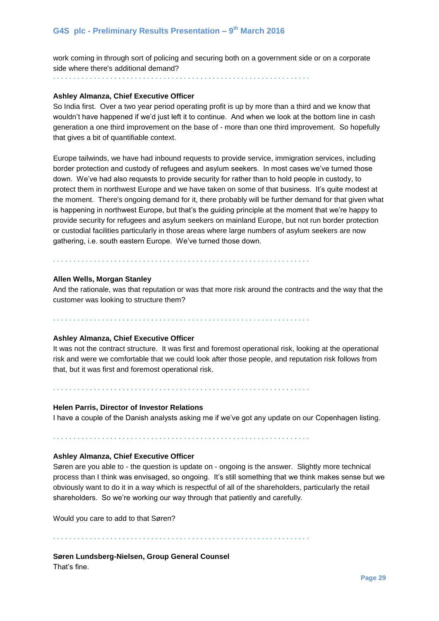work coming in through sort of policing and securing both on a government side or on a corporate side where there's additional demand?

. . . . . . . . . . . . . . . . . . . . . . . . . . . . . . . . . . . . . . . . . . . . . . . . . . . . . . . . . . . . . . .

#### **Ashley Almanza, Chief Executive Officer**

So India first. Over a two year period operating profit is up by more than a third and we know that wouldn't have happened if we'd just left it to continue. And when we look at the bottom line in cash generation a one third improvement on the base of - more than one third improvement. So hopefully that gives a bit of quantifiable context.

Europe tailwinds, we have had inbound requests to provide service, immigration services, including border protection and custody of refugees and asylum seekers. In most cases we've turned those down. We've had also requests to provide security for rather than to hold people in custody, to protect them in northwest Europe and we have taken on some of that business. It's quite modest at the moment. There's ongoing demand for it, there probably will be further demand for that given what is happening in northwest Europe, but that's the guiding principle at the moment that we're happy to provide security for refugees and asylum seekers on mainland Europe, but not run border protection or custodial facilities particularly in those areas where large numbers of asylum seekers are now gathering, i.e. south eastern Europe. We've turned those down.

. . . . . . . . . . . . . . . . . . . . . . . . . . . . . . . . . . . . . . . . . . . . . . . . . . . . . . . . . . . . . . .

#### **Allen Wells, Morgan Stanley**

And the rationale, was that reputation or was that more risk around the contracts and the way that the customer was looking to structure them?

. . . . . . . . . . . . . . . . . . . . . . . . . . . . . . . . . . . . . . . . . . . . . . . . . . . . . . . . . . . . . . .

## **Ashley Almanza, Chief Executive Officer**

It was not the contract structure. It was first and foremost operational risk, looking at the operational risk and were we comfortable that we could look after those people, and reputation risk follows from that, but it was first and foremost operational risk.

. . . . . . . . . . . . . . . . . . . . . . . . . . . . . . . . . . . . . . . . . . . . . . . . . . . . . . . . . . . . . . .

#### **Helen Parris, Director of Investor Relations**

I have a couple of the Danish analysts asking me if we've got any update on our Copenhagen listing.

. . . . . . . . . . . . . . . . . . . . . . . . . . . . . . . . . . . . . . . . . . . . . . . . . . . . . . . . . . . . . . .

#### **Ashley Almanza, Chief Executive Officer**

Søren are you able to - the question is update on - ongoing is the answer. Slightly more technical process than I think was envisaged, so ongoing. It's still something that we think makes sense but we obviously want to do it in a way which is respectful of all of the shareholders, particularly the retail shareholders. So we're working our way through that patiently and carefully.

Would you care to add to that Søren?

. . . . . . . . . . . . . . . . . . . . . . . . . . . . . . . . . . . . . . . . . . . . . . . . . . . . . . . . . . . . . . .

**Søren Lundsberg-Nielsen, Group General Counsel** That's fine.